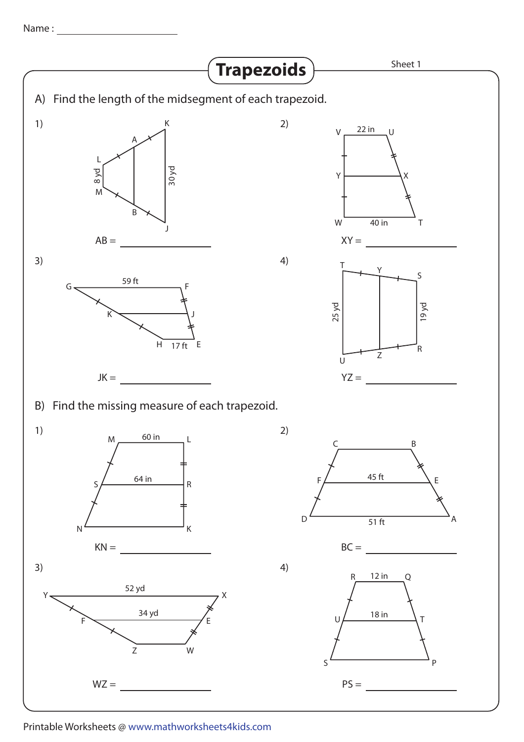